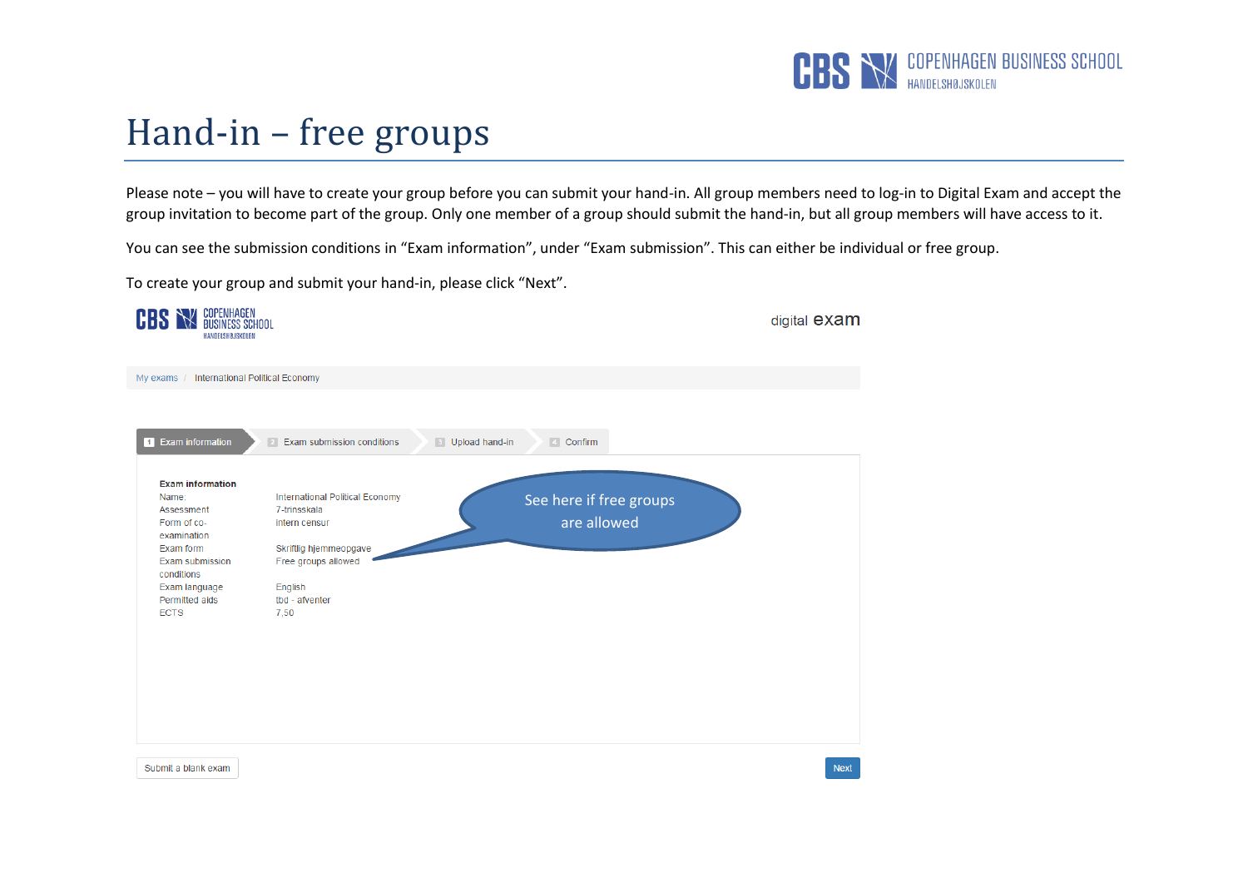

## Hand-in – free groups

Please note – you will have to create your group before you can submit your hand-in. All group members need to log-in to Digital Exam and accept the group invitation to become part of the group. Only one member of a group should submit the hand-in, but all group members will have access to it.

You can see the submission conditions in "Exam information", under "Exam submission". This can either be individual or free group.

To create your group and submit your hand-in, please click "Next".

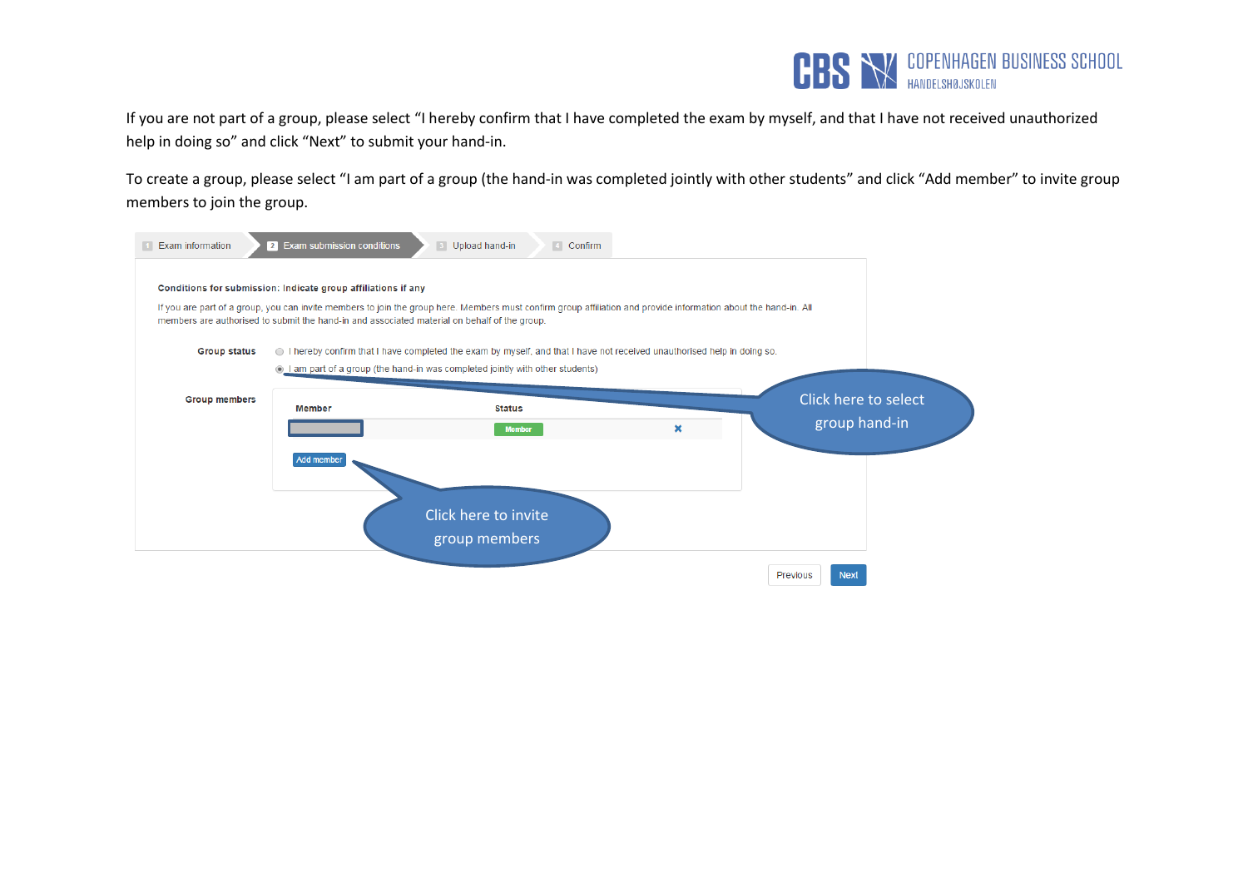

If you are not part of a group, please select "I hereby confirm that I have completed the exam by myself, and that I have not received unauthorized help in doing so" and click "Next" to submit your hand-in.

To create a group, please select "I am part of a group (the hand-in was completed jointly with other students" and click "Add member" to invite group members to join the group.

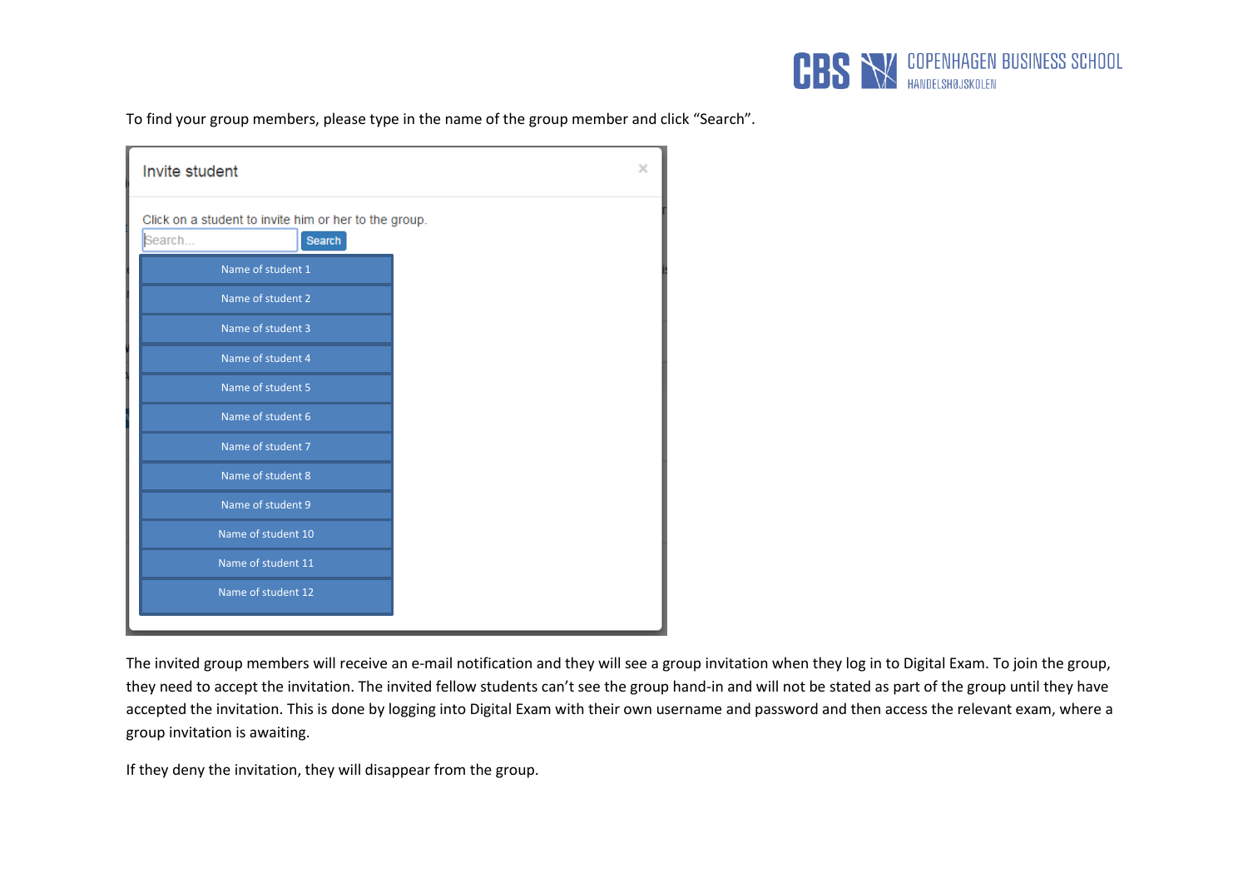

To find your group members, please type in the name of the group member and click "Search".

| Invite student                                                            | $\times$ |  |
|---------------------------------------------------------------------------|----------|--|
| Click on a student to invite him or her to the group.<br>Search<br>Search |          |  |
| Name of student 1                                                         |          |  |
| Name of student 2                                                         |          |  |
| Name of student 3                                                         |          |  |
| Name of student 4                                                         |          |  |
| Name of student 5                                                         |          |  |
| Name of student 6                                                         |          |  |
| Name of student 7                                                         |          |  |
| Name of student 8                                                         |          |  |
| Name of student 9                                                         |          |  |
| Name of student 10                                                        |          |  |
| Name of student 11                                                        |          |  |
| Name of student 12                                                        |          |  |
|                                                                           |          |  |

The invited group members will receive an e-mail notification and they will see a group invitation when they log in to Digital Exam. To join the group, they need to accept the invitation. The invited fellow students can't see the group hand-in and will not be stated as part of the group until they have accepted the invitation. This is done by logging into Digital Exam with their own username and password and then access the relevant exam, where a group invitation is awaiting.

If they deny the invitation, they will disappear from the group.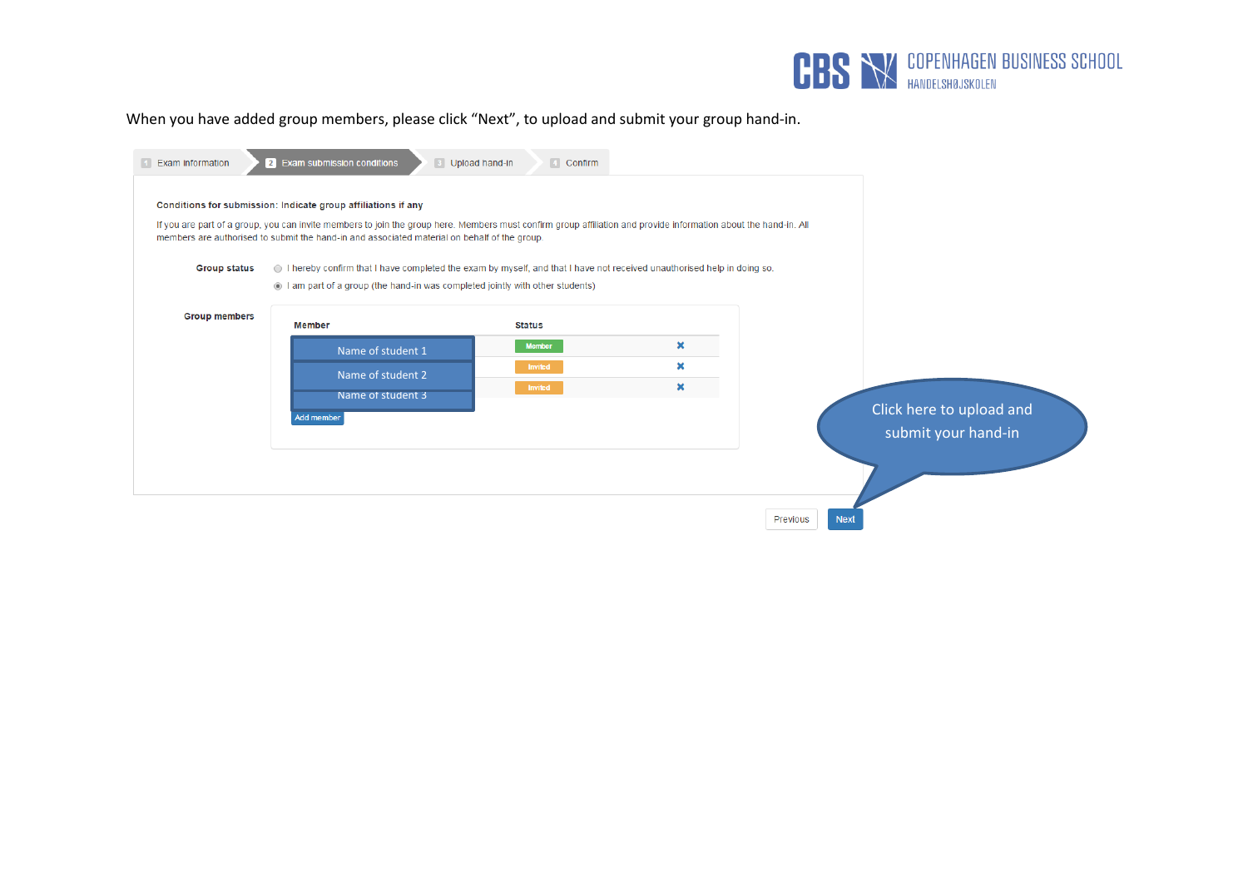

When you have added group members, please click "Next", to upload and submit your group hand-in.

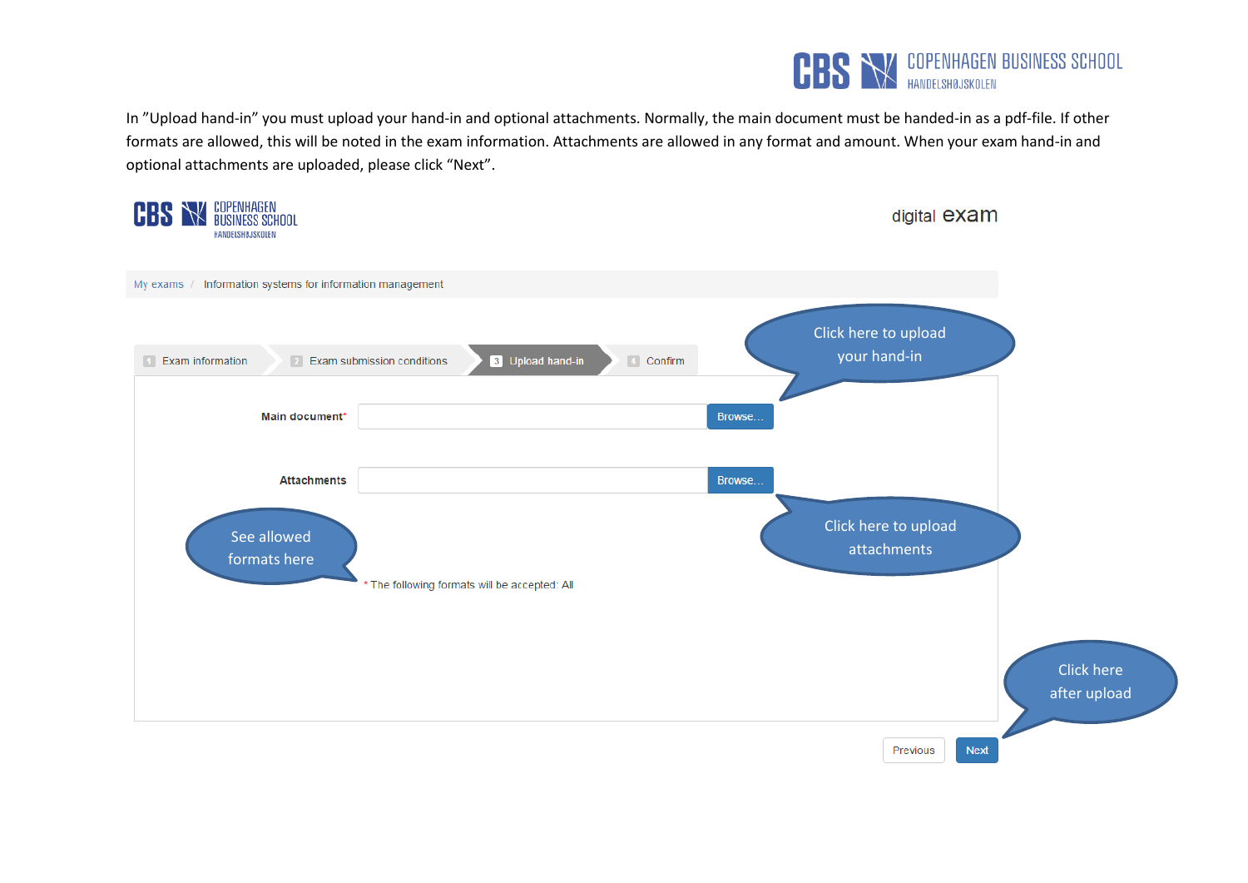

In "Upload hand-in" you must upload your hand-in and optional attachments. Normally, the main document must be handed-in as a pdf-file. If other formats are allowed, this will be noted in the exam information. Attachments are allowed in any format and amount. When your exam hand-in and optional attachments are uploaded, please click "Next".

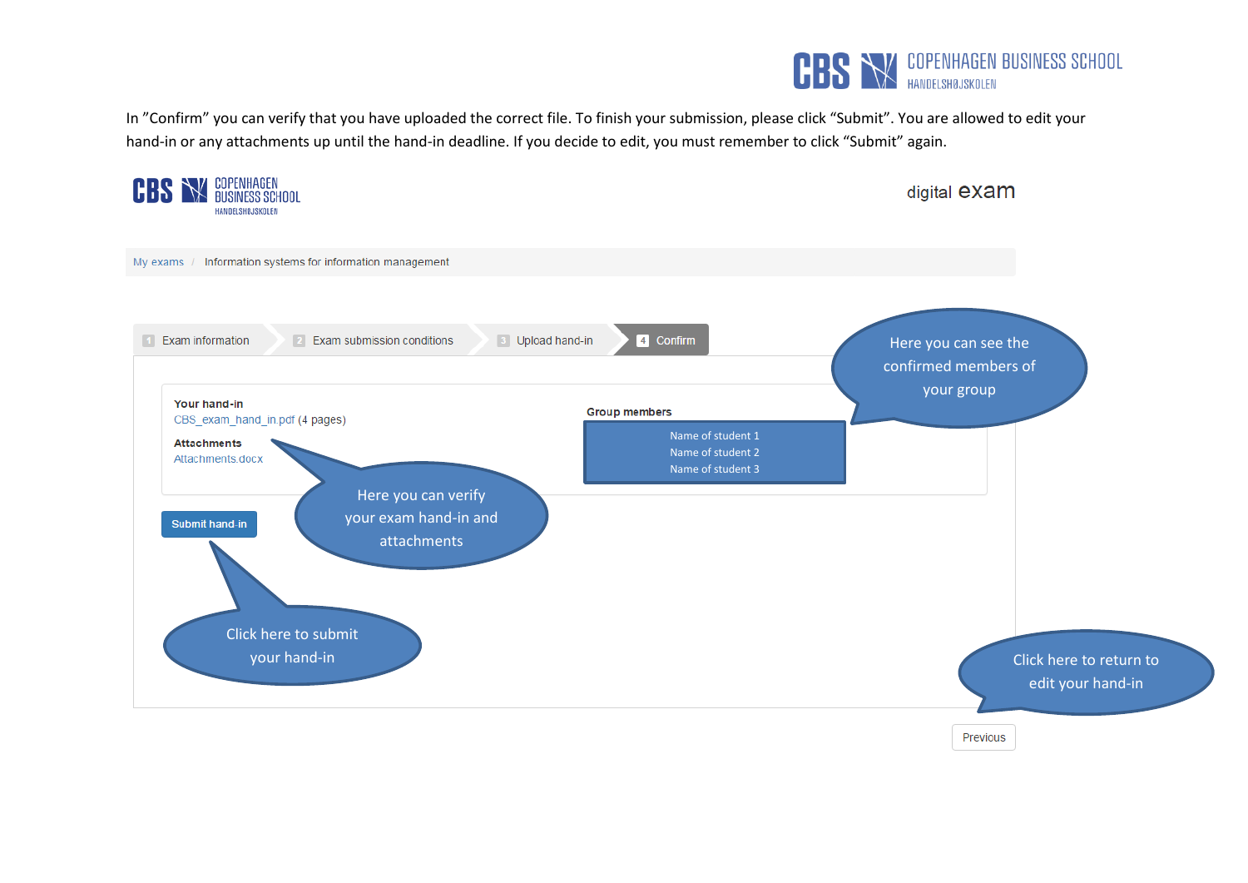

In "Confirm" you can verify that you have uploaded the correct file. To finish your submission, please click "Submit". You are allowed to edit your hand-in or any attachments up until the hand-in deadline. If you decide to edit, you must remember to click "Submit" again.